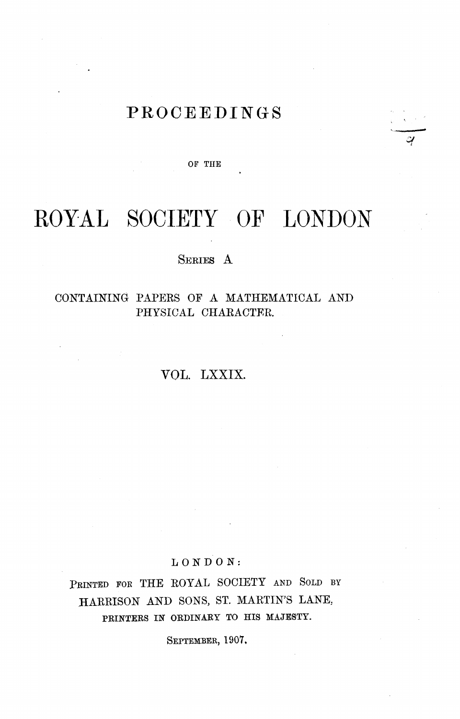# **PROCEEDINGS**

 $\frac{1}{\alpha}$ I

OF THE

# ROYAL SOCIETY OF LONDON

### SERIES A

## CONTAINING PAPERS OF A MATHEMATICAL AND PHYSICAL CHARACTER.

# VOL. LXXIX.

#### LONDON:

PRINTED FOR THE ROYAL SOCIETY AND SOLD BY .HARRISON AND SONS, ST. MARTIN'S LANE; PRINTERS IN ORDINARY TO HIS MAJESTY.

SEPTEMBER, 1907.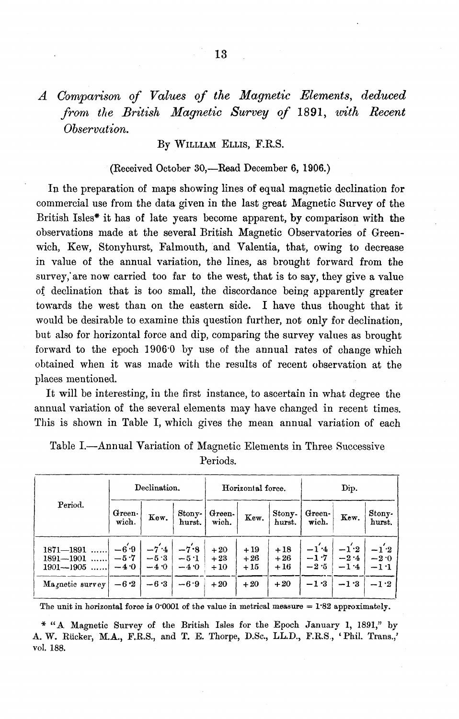*A Comparison of Values of the Magnetic Elements, deduced from the British Magnetic Survey of* 1891, *tvith Recent Observation.* 

By WILLIAM ELLIS, F.R.S.

#### (Received October 30,—Read December 6, 1906.)

In the preparation of maps showing lines of equal magnetic declination for commercial use from the data given in the last great Magnetic Survey of the British Isles\* it has of late years become apparent, by comparison with the observations made at the several British Magnetic Observatories of Greenwich, Kew, Stonyhurst, Falmouth, and Valentia, that, owing to decrease in value of the annual variation, the lines, as brought forward from the survey; are now carried too far to the west, that is to say, they give a value ot declination that is too small, the discordance being apparently greater towards the west than on the eastern side. I have thus thought that it would be desirable to examine this question further, not only for declination, but also for horizontal force and dip, comparing the survey values as brought forward to the epoch 1906'0 by use of the annual rates of change which obtained when it was made with the results of recent observation at the places mentioned.

It will be interesting, in the first instance, to ascertain in what degree the annual variation of the several elements may have changed in recent times. This is shown in Table I, which gives the mean annual variation of each

| Period.                                                            | Declination.                         |                                        | Horizontal force.                    |                                  |                                  | Dip.                             |                                      |                                      |                                      |
|--------------------------------------------------------------------|--------------------------------------|----------------------------------------|--------------------------------------|----------------------------------|----------------------------------|----------------------------------|--------------------------------------|--------------------------------------|--------------------------------------|
|                                                                    | Green-<br>wich.                      | Kew.                                   | Stony-<br>hurst.                     | Green-<br>wich.                  | Kew.                             | Stony-<br>hurst.                 | Green-<br>wich.                      | Kew.                                 | Stony-<br>hurst.                     |
| $1871 - 1891$<br>$1891 - 1901$<br>$1901 - 1905$<br>Magnetic survey | $-6'9$<br>$-5.7$<br>$-4.0$<br>$-6.2$ | $-7'$ +4<br>$-5.3$<br>$-4.0$<br>$-6.3$ | $-7.8$<br>$-5.1$<br>$-4.0$<br>$-6.9$ | $+20$<br>$+23$<br>$+10$<br>$+20$ | $+19$<br>$+26$<br>$+15$<br>$+20$ | $+18$<br>$+26$<br>$+16$<br>$+20$ | $-1.4$<br>$-1.7$<br>$-2.5$<br>$-1.3$ | $-1^2$<br>$-2.4$<br>$-1.4$<br>$-1.3$ | $-1.2$<br>$-2.0$<br>$-1:1$<br>$-1.2$ |

Table I.-Annual Variation of Magnetic Elements in Three Successive Periods.

The unit in horizontal force is  $0.0001$  of the value in metrical measure = 1.82 approximately.

\* "A Magnetic Survey of the British Isles for the Epoch January 1, 1891," by A. W. RUcker, M.A., F.R.S., and T. E. Thorpe, D.Sc., LL.D., F.R.S., 'Phil. Trans.,' vol. 188.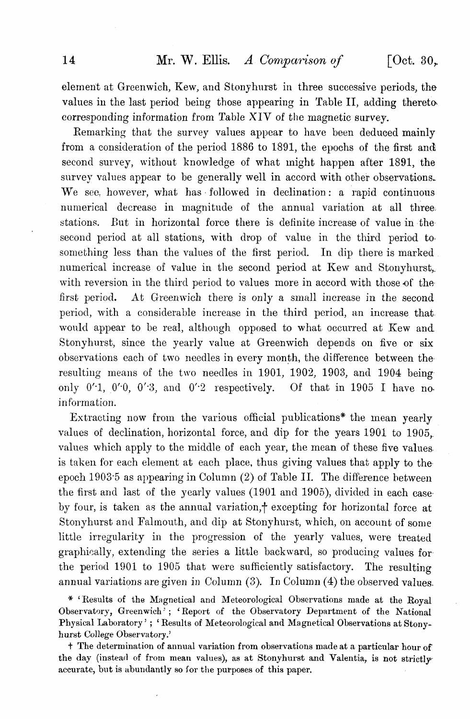element at Greenwich, Kew, and Stonyhurst in three successive periods, the values in the last period being those appearing in Table II, adding theretocorresponding information from Table XIV of the magnetic survey.

Remarking that the survey values appear to have been deduced mainly from a consideration of the period 1886 to 1891, the epochs of the first and second survey, without knowledge of what might happen after 1891, the survey values appear to be generally well in accord with other observations. We see, however, what has· followed in declination: a rapid continuous numerical decrease in magnitude of the annual variation at all three. stations. But in horizontal force there is definite increase of value in the second period at all stations, with drop of value in the third period to something less than the values of the first period. In dip there is marked. numerical increase of value in the second period at Kew and Stonyhurst,. with reversion in the third period to values more in accord with those of the first period. At Greenwich there is only a small increase in the second period, with a considerable increase in the third period, an increase that, would appear to be real, although opposed to what occurred at Kew and Stonyhurst, since the yearly value at Greenwich depends on five or six observations each of two needles in every month, the difference between the resulting means of the two needles in 1901, 1902, 1903, and 1904 being only  $0'1$ ,  $0'0$ ,  $0'3$ , and  $0'2$  respectively. Of that in 1905 I have noinformation.

Extracting now from the various official publications\* the mean yearly values of declination, horizontal force, and dip for the years 1901 to 1905,. values which apply to the middle of each year, the mean of these five values. is taken for each element at each place, thus giving values that apply to theepoch 1903'5 as appearing in Column (2) of Table II. The difference hetween the first and last of the yearly values (1901 and 1905), divided in each case· by four, is taken as the annual variation, $\dagger$  excepting for horizontal force at Stonyhurst and Falmouth, and dip at Stonyhurst, which, on account of some little irregularity in the progression of the yearly values, were treated graphically, extending the series a little backward, so producing values forthe period 1901 to 1905 that were sufficiently satisfactory. The resulting annual variations are given in Column (3). In Column (4) the observed values.

\* 'Results of the Magnetical and Meteorological Observations made at the Royal Observatory, Greenwich); 'Report of the Observatory Department of the National Physical Laboratory' ; 'Results of Meteorological and Magnetical Observations at Stonyhurst College Observatory.'

t The determination of annual variation from observations made at a particular hour of the day (instead of from mean values), as at Stonyhurst and Valentia, is not strictly accurate, but is abundantly so for the purposes of this paper.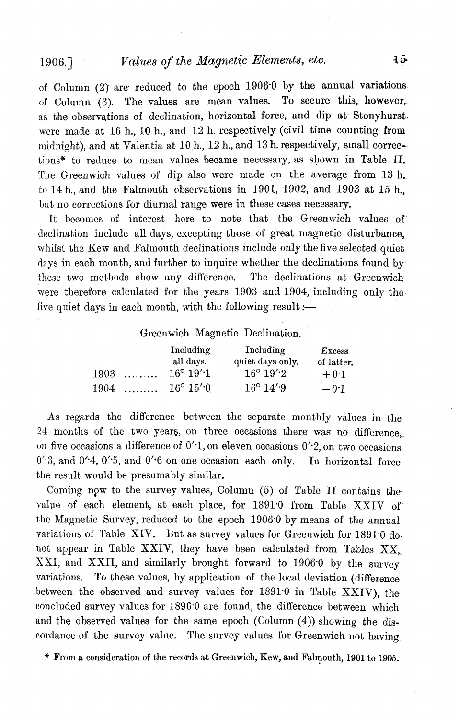# 1906.] *Values of the Magnetic Elements, etc.*

of Column  $(2)$  are reduced to the epoch 1906.0 by the annual variations. of Column (3). The values are mean values. To secure this, however,. as the observations of declination, horizontal force, and dip at Stonyhurst. were made at 16 h., 10 h., and 12 h. respectively (civil time counting from midnight), and at Valentia at 10,h., 12 h., and 13 h. respectively, small correc-· tions\* to reduce to mean values became necessary, as shown in Table II. The Greenwich values of dip also were made on the average from 13 h. to 14 h., and the Falmouth observations in 1901, *1902,* and 1903 at 15 h., but no corrections for diurnal range were in these cases necessary.

It becomes of interest here to note that the Greenwich values of declination include all days, excepting those of great magnetic disturbance. whilst the Kew and Falmouth declinations include only the five selected quiet days in each month, and further to inquire whether the declinations found by these two methods show any difference. The declinations at Greenwich were therefore calculated for the years 1903 and 1904, including only the five quiet days in each month, with the following result: $\sim$ 

#### Greenwich Magnetic Declination.

|      |   | Including                | Including            | <b>Excess</b> |
|------|---|--------------------------|----------------------|---------------|
|      |   | all days.                | quiet days only.     | of latter.    |
| 1903 | . | $16^{\circ} 19'$ 1       | $16^{\circ} 19'$ $2$ | $+0.1$        |
| 1904 | . | $16^{\circ} 15' \cdot 0$ | $16^{\circ} 14'$ $9$ | $-0.1$        |

As regards the difference between the separate monthly values *in* the 24 months of the two yeare, on three occasions there was no difference,. on five occasions a difference of  $0'$ -1, on eleven occasions  $0'$ -2, on two occasions  $0'3$ , and  $0'4$ ,  $0'5$ , and  $0'6$  on one occasion each only. In horizontal forcethe result would be presumably similar.

Coming npw to the survey values, Column (5) of Table II contains thevalue of each element, at each place, for 1891.0 from Table XXIV of the Magnetic Survey, reduced to the epoch 1906'0 by means of the annual variations of Table XIV. But as survey values for Greenwich for 1891-0 donot appear in Table XXIV, they have been calculated from Tables  $XX$ . XXI, and XXII, and similarly brought forward to 1906-0 by the survey variations. To these values, by application of the local deviation (difference between the observed and survey values for 1891'0 in Table XXIV), the concluded survey values for 1896-0 are found, the difference between which and the observed values for the same epoch (Column  $(4)$ ) showing the discordance of the survey value. The survey values for Greenwich not having.

 $*$  From a consideration of the records at Greenwich, Kew, and Falmouth, 1901 to 1905.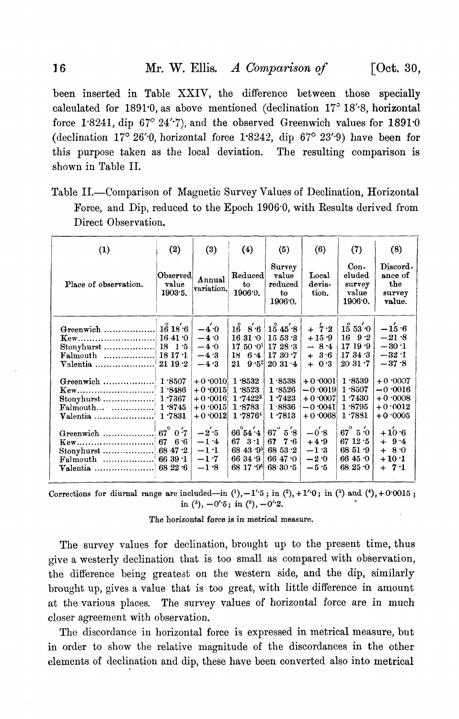been inserted in Table XXIV, the difference between those specially calculated for  $1891:0$ , as above mentioned (declination  $17^{\circ} 18'$ 8, horizontal force 1'8241, dip 67° 24"7), and the observed Greenwich values for *1891'0*  (declination 17° 26"0, horizontal force 1'8242, dip 67° 23"9) have been for this purpose taken as the local deviation, The resulting comparison is shown in Table II.

| Table II.—Comparison of Magnetic Survey Values of Declination, Horizontal |  |  |
|---------------------------------------------------------------------------|--|--|
| Force, and Dip, reduced to the Epoch $1906.0$ , with Results derived from |  |  |
| Direct Observation.                                                       |  |  |

|                                                                                                                                          |                                                                                                 |                                                                                                                                                         |                                                                                                                                                                                                                      | (5)                                                                                                                                                                                            | (6)                                                                                                                                                          | (7)                                                                                                                                                                                                   | (8)                                                                                                                                                             |
|------------------------------------------------------------------------------------------------------------------------------------------|-------------------------------------------------------------------------------------------------|---------------------------------------------------------------------------------------------------------------------------------------------------------|----------------------------------------------------------------------------------------------------------------------------------------------------------------------------------------------------------------------|------------------------------------------------------------------------------------------------------------------------------------------------------------------------------------------------|--------------------------------------------------------------------------------------------------------------------------------------------------------------|-------------------------------------------------------------------------------------------------------------------------------------------------------------------------------------------------------|-----------------------------------------------------------------------------------------------------------------------------------------------------------------|
| Place of observation.                                                                                                                    | Observed<br>value<br>1903.5.                                                                    | Annual<br>variation.                                                                                                                                    | Reduced<br>to<br>1906.0.                                                                                                                                                                                             | Survey<br>value<br>reduced<br>to<br>1906.0.                                                                                                                                                    | Local<br>devia-<br>tion.                                                                                                                                     | $Con-$<br>cluded<br>survey<br>value<br>1906.0.                                                                                                                                                        | Discord-<br>ance of<br>the<br>survey<br>value.                                                                                                                  |
| $\mathbf{K}$ ew<br>Stonyhurst<br>$\text{Falmouth}$<br>$\mathbf{Kew}$<br>Stonyhurst  1 7367<br>$\text{Falmouth}$<br>Valentia<br>Greenwich | 16 41 0<br>$18 \t15$<br>1817.1<br>1.3486<br>1.8745<br>1.7831<br>$67^\circ$ 0.7<br>6.6<br>6639.1 | $-4.0$<br>$-4.0$<br>$-4.0$<br>$-4.3$<br>$-4.3$<br>$+0.0010$<br>$+0.0015$<br>$+0.0016$<br>$+0.0015$<br>$+0.0012$<br>$-2.5$<br>$-1.4$<br>$-1.1$<br>$-1.7$ | $16^{\circ}$<br>8.6<br>1631.0<br>$17,50,0$ 17 $28.3$<br>18<br>6.4<br>$9.5^{\circ}$<br>21<br>1.8532<br>1.8523<br>1.74223<br>1.8783<br>1.78764<br>$66^\circ 54^\prime 4$<br>$3 \cdot 1$<br>67<br>68 43 $9^5$<br>6634.9 | $1\overset{\circ}{\phantom{}}3\,45'\cdot8$<br>1553.3<br>1730.7<br>2031.4<br>1.8538<br>1.3526<br>1.7423<br>1.8836<br>1.7813<br>$67^\circ 5^\prime 8$<br>7.6<br>67<br>68 53 $\cdot$ 2<br>66 47 0 | $+7.2$<br>$+15.9$<br>$-8.4$<br>$+3.6$<br>0.3<br>$+$<br>$+0.0001$<br>$-0.0019$<br>$+0.0007$<br>$-0.0041$<br>$+0.0068$<br>$-0.8$<br>$+4.9$<br>$-1.3$<br>$-2.0$ | $1\overset{\circ}{5}$ 53 $^{'}\!\cdot\!0$<br>$16 \t9 \t2$<br>1719.9<br>1734.3<br>2031.7<br>1.8539<br>1.8507<br>1.7430<br>1.8795<br>1.7881<br>$67^\circ$ 5 $\cdot$ 0<br>67 $12.5$<br>6851.9<br>66 45 0 | $-15.6$<br>$-21.8$<br>$-30.1$<br>$-32.1$<br>$-37.8$<br>$+0.0007$<br>$-0.0016$<br>$+0.0008$<br>$+0.0012$<br>$+0.0005$<br>$+10.6$<br>$+9.4$<br>$+ 8.0$<br>$+10.1$ |

Corrections for diurnal range are included-in  $(1)$ ,  $-1'$  5; in  $(2)$ ,  $+1'$  0; in  $(3)$  and  $(4)$ ,  $+0$  0015; in  $(^5)$ ,  $-0'5$ ; in  $(^6)$ ,  $-0'2$ .

The horizontal force is in metrical measure.

The survey values for declination, brought up to the present time, thus give a westerly declination that is too small as compared with observation, the difference being greatest on the western side, and the dip, similarly brought up, gives a value that is too great, with little difference in amount at the various places. The survey values of horizontal force are in much closer agreement with observation,

The discordance in horizontal force is expressed in metrical measure, but in order to show the relative magnitude of the discordances in the other elements of declination and dip, these have been converted also into metrical